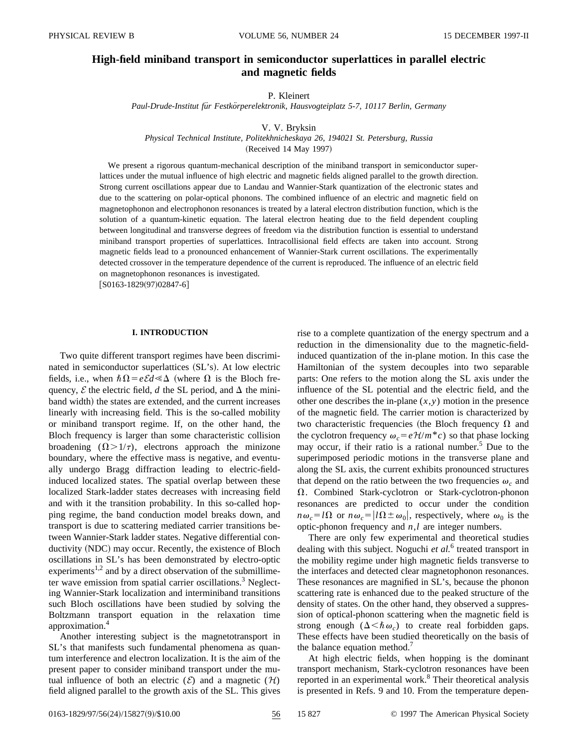# **High-field miniband transport in semiconductor superlattices in parallel electric and magnetic fields**

#### P. Kleinert

*Paul-Drude-Institut fu¨r Festko¨rperelektronik, Hausvogteiplatz 5-7, 10117 Berlin, Germany*

## V. V. Bryksin

*Physical Technical Institute, Politekhnicheskaya 26, 194021 St. Petersburg, Russia*

(Received 14 May 1997)

We present a rigorous quantum-mechanical description of the miniband transport in semiconductor superlattices under the mutual influence of high electric and magnetic fields aligned parallel to the growth direction. Strong current oscillations appear due to Landau and Wannier-Stark quantization of the electronic states and due to the scattering on polar-optical phonons. The combined influence of an electric and magnetic field on magnetophonon and electrophonon resonances is treated by a lateral electron distribution function, which is the solution of a quantum-kinetic equation. The lateral electron heating due to the field dependent coupling between longitudinal and transverse degrees of freedom via the distribution function is essential to understand miniband transport properties of superlattices. Intracollisional field effects are taken into account. Strong magnetic fields lead to a pronounced enhancement of Wannier-Stark current oscillations. The experimentally detected crossover in the temperature dependence of the current is reproduced. The influence of an electric field on magnetophonon resonances is investigated.

 $[ S0163-1829(97)02847-6 ]$ 

### **I. INTRODUCTION**

Two quite different transport regimes have been discriminated in semiconductor superlattices (SL's). At low electric fields, i.e., when  $\hbar\Omega = e\mathcal{E}d \ll \Delta$  (where  $\Omega$  is the Bloch frequency,  $\mathcal E$  the electric field,  $d$  the SL period, and  $\Delta$  the miniband width) the states are extended, and the current increases linearly with increasing field. This is the so-called mobility or miniband transport regime. If, on the other hand, the Bloch frequency is larger than some characteristic collision broadening  $(\Omega > 1/\tau)$ , electrons approach the minizone boundary, where the effective mass is negative, and eventually undergo Bragg diffraction leading to electric-fieldinduced localized states. The spatial overlap between these localized Stark-ladder states decreases with increasing field and with it the transition probability. In this so-called hopping regime, the band conduction model breaks down, and transport is due to scattering mediated carrier transitions between Wannier-Stark ladder states. Negative differential conductivity (NDC) may occur. Recently, the existence of Bloch oscillations in SL's has been demonstrated by electro-optic experiments<sup>1,2</sup> and by a direct observation of the submillimeter wave emission from spatial carrier oscillations.<sup>3</sup> Neglecting Wannier-Stark localization and interminiband transitions such Bloch oscillations have been studied by solving the Boltzmann transport equation in the relaxation time approximation.<sup>4</sup>

Another interesting subject is the magnetotransport in SL's that manifests such fundamental phenomena as quantum interference and electron localization. It is the aim of the present paper to consider miniband transport under the mutual influence of both an electric  $(\mathcal{E})$  and a magnetic  $(\mathcal{H})$ field aligned parallel to the growth axis of the SL. This gives rise to a complete quantization of the energy spectrum and a reduction in the dimensionality due to the magnetic-fieldinduced quantization of the in-plane motion. In this case the Hamiltonian of the system decouples into two separable parts: One refers to the motion along the SL axis under the influence of the SL potential and the electric field, and the other one describes the in-plane  $(x, y)$  motion in the presence of the magnetic field. The carrier motion is characterized by two characteristic frequencies (the Bloch frequency  $\Omega$  and the cyclotron frequency  $\omega_c = e \mathcal{H}/m^*c$  so that phase locking may occur, if their ratio is a rational number.<sup>5</sup> Due to the superimposed periodic motions in the transverse plane and along the SL axis, the current exhibits pronounced structures that depend on the ratio between the two frequencies  $\omega_c$  and  $\Omega$ . Combined Stark-cyclotron or Stark-cyclotron-phonon resonances are predicted to occur under the condition  $n\omega_c = l\Omega$  or  $n\omega_c = l\Omega \pm \omega_0$ , respectively, where  $\omega_0$  is the optic-phonon frequency and *n*,*l* are integer numbers.

There are only few experimental and theoretical studies dealing with this subject. Noguchi *et al.*<sup>6</sup> treated transport in the mobility regime under high magnetic fields transverse to the interfaces and detected clear magnetophonon resonances. These resonances are magnified in SL's, because the phonon scattering rate is enhanced due to the peaked structure of the density of states. On the other hand, they observed a suppression of optical-phonon scattering when the magnetic field is strong enough  $(\Delta < \hbar \omega_c)$  to create real forbidden gaps. These effects have been studied theoretically on the basis of the balance equation method.<sup>7</sup>

At high electric fields, when hopping is the dominant transport mechanism, Stark-cyclotron resonances have been reported in an experimental work.<sup>8</sup> Their theoretical analysis is presented in Refs. 9 and 10. From the temperature depen-

0163-1829/97/56(24)/15827(9)/\$10.00 56 15 827 © 1997 The American Physical Society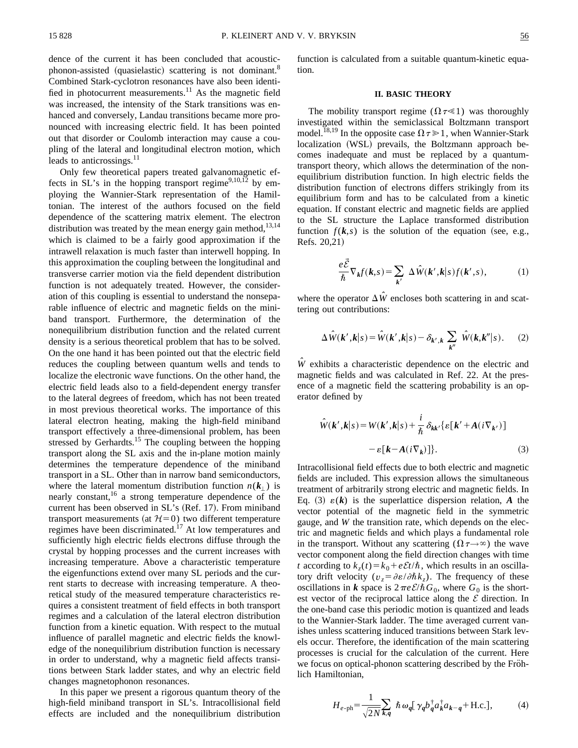dence of the current it has been concluded that acousticphonon-assisted (quasielastic) scattering is not dominant.<sup>8</sup> Combined Stark-cyclotron resonances have also been identified in photocurrent measurements. $^{11}$  As the magnetic field was increased, the intensity of the Stark transitions was enhanced and conversely, Landau transitions became more pronounced with increasing electric field. It has been pointed out that disorder or Coulomb interaction may cause a coupling of the lateral and longitudinal electron motion, which leads to anticrossings. $^{11}$ 

Only few theoretical papers treated galvanomagnetic effects in SL's in the hopping transport regime<sup>9,10,12</sup> by employing the Wannier-Stark representation of the Hamiltonian. The interest of the authors focused on the field dependence of the scattering matrix element. The electron distribution was treated by the mean energy gain method, $13,14$ which is claimed to be a fairly good approximation if the intrawell relaxation is much faster than interwell hopping. In this approximation the coupling between the longitudinal and transverse carrier motion via the field dependent distribution function is not adequately treated. However, the consideration of this coupling is essential to understand the nonseparable influence of electric and magnetic fields on the miniband transport. Furthermore, the determination of the nonequilibrium distribution function and the related current density is a serious theoretical problem that has to be solved. On the one hand it has been pointed out that the electric field reduces the coupling between quantum wells and tends to localize the electronic wave functions. On the other hand, the electric field leads also to a field-dependent energy transfer to the lateral degrees of freedom, which has not been treated in most previous theoretical works. The importance of this lateral electron heating, making the high-field miniband transport effectively a three-dimensional problem, has been stressed by Gerhardts.<sup>15</sup> The coupling between the hopping transport along the SL axis and the in-plane motion mainly determines the temperature dependence of the miniband transport in a SL. Other than in narrow band semiconductors, where the lateral momentum distribution function  $n(k_1)$  is nearly constant,  $16$  a strong temperature dependence of the current has been observed in SL's (Ref. 17). From miniband transport measurements (at  $H=0$ ) two different temperature regimes have been discriminated.17 At low temperatures and sufficiently high electric fields electrons diffuse through the crystal by hopping processes and the current increases with increasing temperature. Above a characteristic temperature the eigenfunctions extend over many SL periods and the current starts to decrease with increasing temperature. A theoretical study of the measured temperature characteristics requires a consistent treatment of field effects in both transport regimes and a calculation of the lateral electron distribution function from a kinetic equation. With respect to the mutual influence of parallel magnetic and electric fields the knowledge of the nonequilibrium distribution function is necessary in order to understand, why a magnetic field affects transitions between Stark ladder states, and why an electric field changes magnetophonon resonances.

In this paper we present a rigorous quantum theory of the high-field miniband transport in SL's. Intracollisional field effects are included and the nonequilibrium distribution function is calculated from a suitable quantum-kinetic equation.

#### **II. BASIC THEORY**

The mobility transport regime  $(\Omega \tau \ll 1)$  was thoroughly investigated within the semiclassical Boltzmann transport model.<sup>18,19</sup> In the opposite case  $\Omega \tau \ge 1$ , when Wannier-Stark localization (WSL) prevails, the Boltzmann approach becomes inadequate and must be replaced by a quantumtransport theory, which allows the determination of the nonequilibrium distribution function. In high electric fields the distribution function of electrons differs strikingly from its equilibrium form and has to be calculated from a kinetic equation. If constant electric and magnetic fields are applied to the SL structure the Laplace transformed distribution function  $f(k, s)$  is the solution of the equation (see, e.g., Refs. 20,21)

$$
\frac{e\vec{\mathcal{E}}}{\hbar} \nabla_{\mathbf{k}} f(\mathbf{k}, s) = \sum_{\mathbf{k}'} \Delta \hat{W}(\mathbf{k}', \mathbf{k}|s) f(\mathbf{k}', s), \tag{1}
$$

where the operator  $\Delta \hat{W}$  encloses both scattering in and scattering out contributions:

$$
\Delta \hat{W}(\mathbf{k}', \mathbf{k}|s) = \hat{W}(\mathbf{k}', \mathbf{k}|s) - \delta_{\mathbf{k}', \mathbf{k}} \sum_{\mathbf{k}''} \hat{W}(\mathbf{k}, \mathbf{k}''|s). \tag{2}
$$

*Wˆ* exhibits a characteristic dependence on the electric and magnetic fields and was calculated in Ref. 22. At the presence of a magnetic field the scattering probability is an operator defined by

$$
\hat{W}(\mathbf{k}', \mathbf{k}|s) = W(\mathbf{k}', \mathbf{k}|s) + \frac{i}{\hbar} \delta_{\mathbf{k}\mathbf{k}'} \{ \varepsilon [\mathbf{k}' + A(i\nabla_{\mathbf{k}'})] - \varepsilon [\mathbf{k} - A(i\nabla_{\mathbf{k}})] \}.
$$
\n(3)

Intracollisional field effects due to both electric and magnetic fields are included. This expression allows the simultaneous treatment of arbitrarily strong electric and magnetic fields. In Eq. (3)  $\varepsilon(k)$  is the superlattice dispersion relation, A the vector potential of the magnetic field in the symmetric gauge, and *W* the transition rate, which depends on the electric and magnetic fields and which plays a fundamental role in the transport. Without any scattering  $(\Omega \tau \rightarrow \infty)$  the wave vector component along the field direction changes with time *t* according to  $k_z(t) = k_0 + e\mathcal{E}t/\hbar$ , which results in an oscillatory drift velocity ( $v_z = \partial \varepsilon / \partial \hbar k_z$ ). The frequency of these oscillations in *k* space is  $2 \pi e \mathcal{E}/\hbar G_0$ , where  $G_0$  is the shortest vector of the reciprocal lattice along the *E* direction. In the one-band case this periodic motion is quantized and leads to the Wannier-Stark ladder. The time averaged current vanishes unless scattering induced transitions between Stark levels occur. Therefore, the identification of the main scattering processes is crucial for the calculation of the current. Here we focus on optical-phonon scattering described by the Fröhlich Hamiltonian,

$$
H_{e\text{-}ph} = \frac{1}{\sqrt{2N}} \sum_{k,q} \hbar \omega_q [\gamma_q b_q^{\dagger} a_k^{\dagger} a_{k-q} + \text{H.c.}], \tag{4}
$$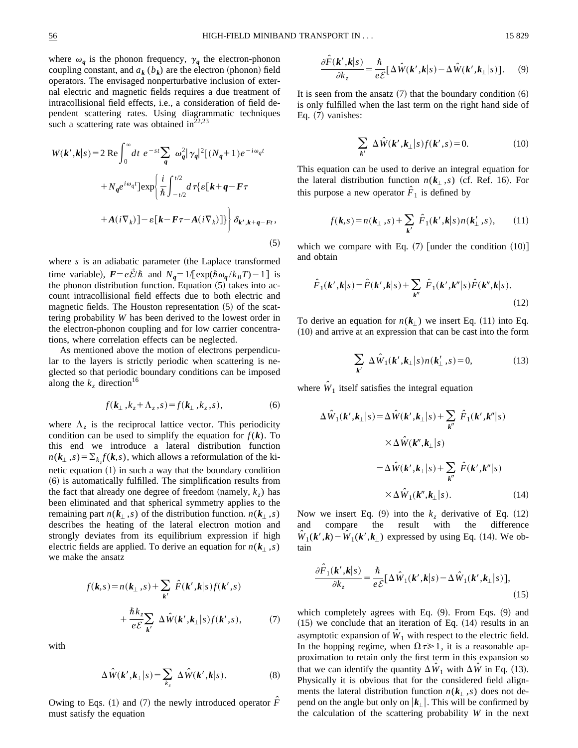where  $\omega_q$  is the phonon frequency,  $\gamma_q$  the electron-phonon coupling constant, and  $a_k$  ( $b_k$ ) are the electron (phonon) field operators. The envisaged nonperturbative inclusion of external electric and magnetic fields requires a due treatment of intracollisional field effects, i.e., a consideration of field dependent scattering rates. Using diagrammatic techniques such a scattering rate was obtained in $^{22,23}$ 

$$
W(\mathbf{k}', \mathbf{k}|s) = 2 \operatorname{Re} \int_0^\infty dt \ e^{-st} \sum_{q} \omega_q^2 |\gamma_q|^2 [(N_q + 1) e^{-i\omega_q t}
$$

$$
+ N_q e^{i\omega_q t}] \exp \left\{ \frac{i}{\hbar} \int_{-t/2}^{t/2} d\tau \{ \varepsilon [\mathbf{k} + \mathbf{q} - \mathbf{F}\tau
$$

$$
+ A(i\nabla_k)] - \varepsilon [\mathbf{k} - \mathbf{F}\tau - A(i\nabla_k)] \} \right\} \delta_{\mathbf{k}', \mathbf{k} + \mathbf{q} - \mathbf{F}t}, \tag{5}
$$

where *s* is an adiabatic parameter (the Laplace transformed time variable),  $F = e\bar{\mathcal{E}}/\hbar$  and  $N_q = 1/[\exp(\hbar \omega_q / k_B T) - 1]$  is the phonon distribution function. Equation  $(5)$  takes into account intracollisional field effects due to both electric and magnetic fields. The Houston representation  $(5)$  of the scattering probability *W* has been derived to the lowest order in the electron-phonon coupling and for low carrier concentrations, where correlation effects can be neglected.

As mentioned above the motion of electrons perpendicular to the layers is strictly periodic when scattering is neglected so that periodic boundary conditions can be imposed along the  $k_z$  direction<sup>16</sup>

$$
f(\mathbf{k}_{\perp}, k_z + \Lambda_z, s) = f(\mathbf{k}_{\perp}, k_z, s), \tag{6}
$$

where  $\Lambda_z$  is the reciprocal lattice vector. This periodicity condition can be used to simplify the equation for  $f(\mathbf{k})$ . To this end we introduce a lateral distribution function  $n(k_{\perp}, s) = \sum_{k_z} f(k, s)$ , which allows a reformulation of the kinetic equation  $(1)$  in such a way that the boundary condition  $(6)$  is automatically fulfilled. The simplification results from the fact that already one degree of freedom (namely,  $k_z$ ) has been eliminated and that spherical symmetry applies to the remaining part  $n(k_{\perp}, s)$  of the distribution function.  $n(k_{\perp}, s)$ describes the heating of the lateral electron motion and strongly deviates from its equilibrium expression if high electric fields are applied. To derive an equation for  $n(k_{\perp},s)$ we make the ansatz

$$
f(\mathbf{k}, s) = n(\mathbf{k}_{\perp}, s) + \sum_{\mathbf{k}'} \hat{F}(\mathbf{k}', \mathbf{k}|s) f(\mathbf{k}', s)
$$
  
+ 
$$
\frac{\hbar k_z}{e \mathcal{E}} \sum_{\mathbf{k}'} \Delta \hat{W}(\mathbf{k}', \mathbf{k}_{\perp}|s) f(\mathbf{k}', s), \tag{7}
$$

with

$$
\Delta \hat{W}(\boldsymbol{k}',\boldsymbol{k}_{\perp}|\boldsymbol{s}) = \sum_{k_z} \Delta \hat{W}(\boldsymbol{k}',\boldsymbol{k}|\boldsymbol{s}). \tag{8}
$$

Owing to Eqs. (1) and (7) the newly introduced operator  $\hat{F}$ must satisfy the equation

$$
\frac{\partial \hat{F}(\mathbf{k}', \mathbf{k}|s)}{\partial k_z} = \frac{\hbar}{e \mathcal{E}} \left[ \Delta \hat{W}(\mathbf{k}', \mathbf{k}|s) - \Delta \hat{W}(\mathbf{k}', \mathbf{k}_{\perp}|s) \right]. \tag{9}
$$

It is seen from the ansatz  $(7)$  that the boundary condition  $(6)$ is only fulfilled when the last term on the right hand side of Eq.  $(7)$  vanishes:

$$
\sum_{\mathbf{k}'} \Delta \hat{W}(\mathbf{k}', \mathbf{k}_{\perp} | s) f(\mathbf{k}', s) = 0.
$$
 (10)

This equation can be used to derive an integral equation for the lateral distribution function  $n(k_{\perp},s)$  (cf. Ref. 16). For this purpose a new operator  $\hat{F}_1$  is defined by

$$
f(\mathbf{k}, s) = n(\mathbf{k}_{\perp}, s) + \sum_{\mathbf{k}'} \hat{F}_1(\mathbf{k}', \mathbf{k}|s) n(\mathbf{k}'_{\perp}, s), \qquad (11)
$$

which we compare with Eq.  $(7)$  [under the condition  $(10)$ ] and obtain

$$
\hat{F}_1(\mathbf{k}', \mathbf{k}|s) = \hat{F}(\mathbf{k}', \mathbf{k}|s) + \sum_{\mathbf{k}''} \hat{F}_1(\mathbf{k}', \mathbf{k}''|s) \hat{F}(\mathbf{k}'', \mathbf{k}|s).
$$
\n(12)

To derive an equation for  $n(k_1)$  we insert Eq. (11) into Eq.  $(10)$  and arrive at an expression that can be cast into the form

$$
\sum_{\mathbf{k}'} \Delta \hat{W}_1(\mathbf{k}', \mathbf{k}_\perp | s) n(\mathbf{k}'_\perp, s) = 0, \tag{13}
$$

where  $\hat{W}_1$  itself satisfies the integral equation

$$
\Delta \hat{W}_1(\mathbf{k}', \mathbf{k}_{\perp} | s) = \Delta \hat{W}(\mathbf{k}', \mathbf{k}_{\perp} | s) + \sum_{\mathbf{k}''} \hat{F}_1(\mathbf{k}', \mathbf{k}'' | s)
$$

$$
\times \Delta \hat{W}(\mathbf{k}'', \mathbf{k}_{\perp} | s)
$$

$$
= \Delta \hat{W}(\mathbf{k}', \mathbf{k}_{\perp} | s) + \sum_{\mathbf{k}''} \hat{F}(\mathbf{k}', \mathbf{k}'' | s)
$$

$$
\times \Delta \hat{W}_1(\mathbf{k}'', \mathbf{k}_{\perp} | s).
$$
(14)

Now we insert Eq.  $(9)$  into the  $k<sub>z</sub>$  derivative of Eq.  $(12)$ and compare the result with the difference  $\ddot{W}_1(\mathbf{k}', \mathbf{k}) - \ddot{W}_1(\mathbf{k}', \mathbf{k}_\perp)$  expressed by using Eq. (14). We obtain

$$
\frac{\partial \hat{F}_1(\mathbf{k}', \mathbf{k}|s)}{\partial k_z} = \frac{\hbar}{e \mathcal{E}} \left[ \Delta \hat{W}_1(\mathbf{k}', \mathbf{k}|s) - \Delta \hat{W}_1(\mathbf{k}', \mathbf{k}_\perp|s) \right],\tag{15}
$$

which completely agrees with Eq.  $(9)$ . From Eqs.  $(9)$  and  $(15)$  we conclude that an iteration of Eq.  $(14)$  results in an asymptotic expansion of  $\hat{W}_1$  with respect to the electric field. In the hopping regime, when  $\Omega \tau \gg 1$ , it is a reasonable approximation to retain only the first term in this expansion so that we can identify the quantity  $\Delta \hat{W}_1$  with  $\Delta \hat{W}$  in Eq. (13). Physically it is obvious that for the considered field alignments the lateral distribution function  $n(k_{\perp},s)$  does not depend on the angle but only on  $\vert k_{\perp} \vert$ . This will be confirmed by the calculation of the scattering probability *W* in the next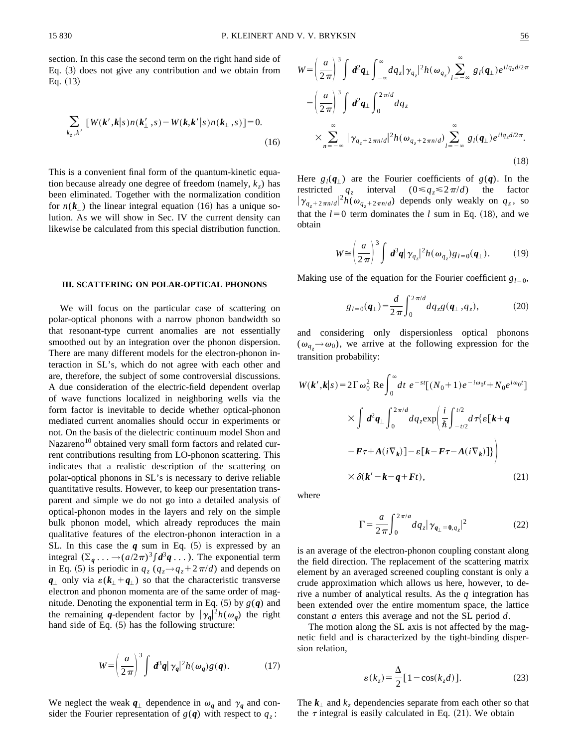$$
\sum_{k_z, k'} [W(k', k|s) n(k'_{\perp}, s) - W(k, k'|s) n(k_{\perp}, s)] = 0.
$$
\n(16)

This is a convenient final form of the quantum-kinetic equation because already one degree of freedom (namely,  $k_z$ ) has been eliminated. Together with the normalization condition for  $n(k_1)$  the linear integral equation (16) has a unique solution. As we will show in Sec. IV the current density can likewise be calculated from this special distribution function.

#### **III. SCATTERING ON POLAR-OPTICAL PHONONS**

We will focus on the particular case of scattering on polar-optical phonons with a narrow phonon bandwidth so that resonant-type current anomalies are not essentially smoothed out by an integration over the phonon dispersion. There are many different models for the electron-phonon interaction in SL's, which do not agree with each other and are, therefore, the subject of some controversial discussions. A due consideration of the electric-field dependent overlap of wave functions localized in neighboring wells via the form factor is inevitable to decide whether optical-phonon mediated current anomalies should occur in experiments or not. On the basis of the dielectric continuum model Shon and Nazareno<sup>10</sup> obtained very small form factors and related current contributions resulting from LO-phonon scattering. This indicates that a realistic description of the scattering on polar-optical phonons in SL's is necessary to derive reliable quantitative results. However, to keep our presentation transparent and simple we do not go into a detailed analysis of optical-phonon modes in the layers and rely on the simple bulk phonon model, which already reproduces the main qualitative features of the electron-phonon interaction in a SL. In this case the  $q$  sum in Eq.  $(5)$  is expressed by an integral  $(\Sigma_q \dots \rightarrow (a/2\pi)^3 \int d^3q \dots)$ . The exponential term in Eq. (5) is periodic in  $q_z (q_z \rightarrow q_z + 2\pi/d)$  and depends on  $q_{\perp}$  only via  $\varepsilon$ ( $k_{\perp}$ + $q_{\perp}$ ) so that the characteristic transverse electron and phonon momenta are of the same order of magnitude. Denoting the exponential term in Eq.  $(5)$  by  $g(q)$  and the remaining *q*-dependent factor by  $|\gamma_q|^2 h(\omega_q)$  the right hand side of Eq.  $(5)$  has the following structure:

$$
W = \left(\frac{a}{2\pi}\right)^3 \int d^3q |\gamma_q|^2 h(\omega_q) g(q). \tag{17}
$$

We neglect the weak  $q_{\perp}$  dependence in  $\omega_q$  and  $\gamma_q$  and consider the Fourier representation of  $g(q)$  with respect to  $q_z$ :

$$
W = \left(\frac{a}{2\pi}\right)^3 \int d^2q_{\perp} \int_{-\infty}^{\infty} dq_z |\gamma_{q_z}|^2 h(\omega_{q_z}) \sum_{l=-\infty}^{\infty} g_l(q_{\perp}) e^{ilq_z d/2\pi}
$$
  
\n
$$
= \left(\frac{a}{2\pi}\right)^3 \int d^2q_{\perp} \int_0^{2\pi/d} dq_z
$$
  
\n
$$
\times \sum_{n=-\infty}^{\infty} |\gamma_{q_z+2\pi n/d}|^2 h(\omega_{q_z+2\pi n/d}) \sum_{l=-\infty}^{\infty} g_l(q_{\perp}) e^{ilq_z d/2\pi}.
$$
\n(18)

Here  $g_l(q)$  are the Fourier coefficients of  $g(q)$ . In the restricted  $q_z$  interval  $(0 \leq q_z \leq 2\pi/d)$  the factor  $|\gamma_{q_z+2\pi n/d}|^2 h(\omega_{q_z+2\pi n/d})$  depends only weakly on  $q_z$ , so that the  $l=0$  term dominates the *l* sum in Eq. (18), and we obtain

$$
W \cong \left(\frac{a}{2\pi}\right)^3 \int d^3\mathbf{q} |\gamma_{q_z}|^2 h(\omega_{q_z}) g_{l=0}(\mathbf{q}_{\perp}). \tag{19}
$$

Making use of the equation for the Fourier coefficient  $g_{l=0}$ ,

$$
g_{l=0}(q_{\perp}) = \frac{d}{2\pi} \int_0^{2\pi/d} dq_z g(q_{\perp}, q_z), \qquad (20)
$$

and considering only dispersionless optical phonons  $(\omega_{q_z} \rightarrow \omega_0)$ , we arrive at the following expression for the transition probability:

$$
W(\mathbf{k}', \mathbf{k}|s) = 2\Gamma \omega_0^2 \text{ Re} \int_0^\infty dt \ e^{-st} [(N_0 + 1)e^{-i\omega_0 t} + N_0 e^{i\omega_0 t}]
$$
  
 
$$
\times \int d^2 q_\perp \int_0^{2\pi/d} dq_z \exp\left(\frac{i}{\hbar} \int_{-t/2}^{t/2} d\tau \{ \varepsilon [\mathbf{k} + \mathbf{q} - \mathbf{F}\tau + A(i\nabla_k)] - \varepsilon [\mathbf{k} - \mathbf{F}\tau - A(i\nabla_k)] \} \right)
$$
  
 
$$
\times \delta(\mathbf{k}' - \mathbf{k} - \mathbf{q} + \mathbf{F}t), \qquad (21)
$$

where

$$
\Gamma = \frac{a}{2\pi} \int_0^{2\pi/a} dq_z |\gamma_{\boldsymbol{q}_{\perp} = \boldsymbol{0}, q_z}|^2 \tag{22}
$$

is an average of the electron-phonon coupling constant along the field direction. The replacement of the scattering matrix element by an averaged screened coupling constant is only a crude approximation which allows us here, however, to derive a number of analytical results. As the *q* integration has been extended over the entire momentum space, the lattice constant *a* enters this average and not the SL period *d*.

The motion along the SL axis is not affected by the magnetic field and is characterized by the tight-binding dispersion relation,

$$
\varepsilon(k_z) = \frac{\Delta}{2} [1 - \cos(k_z d)].
$$
 (23)

The  $k_1$  and  $k_2$  dependencies separate from each other so that the  $\tau$  integral is easily calculated in Eq. (21). We obtain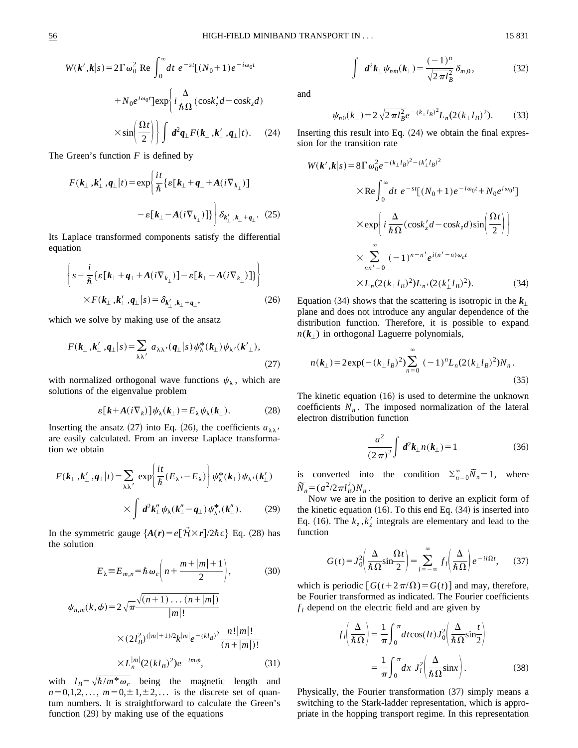$$
W(\mathbf{k}', \mathbf{k}|s) = 2\Gamma \omega_0^2 \text{ Re } \int_0^\infty dt \ e^{-st} [(N_0 + 1)e^{-i\omega_0 t} + N_0 e^{i\omega_0 t}] \exp\left\{ i \frac{\Delta}{\hbar \Omega} (\cos k_z' d - \cos k_z d) \right.
$$

$$
\times \sin\left(\frac{\Omega t}{2}\right) \int d^2 q_\perp F(k_\perp, k'_\perp, q_\perp | t). \tag{24}
$$

The Green's function *F* is defined by

$$
F(\mathbf{k}_{\perp}, \mathbf{k}'_{\perp}, \mathbf{q}_{\perp} | t) = \exp \left\{ \frac{i t}{\hbar} \left\{ \varepsilon [\mathbf{k}_{\perp} + \mathbf{q}_{\perp} + A(i \nabla_{k_{\perp}}) \right\} - \varepsilon [\mathbf{k}_{\perp} - A(i \nabla_{k_{\perp}})] \right\} \delta_{\mathbf{k}'_{\perp}, \mathbf{k}_{\perp} + \mathbf{q}_{\perp}}.
$$
 (25)

Its Laplace transformed components satisfy the differential equation

$$
\left\{ s - \frac{i}{\hbar} \left\{ \varepsilon \left[ k_{\perp} + q_{\perp} + A(i \nabla_{k_{\perp}}) \right] - \varepsilon \left[ k_{\perp} - A(i \nabla_{k_{\perp}}) \right] \right\} \right\}
$$
  
× $F(k_{\perp}, k'_{\perp}, q_{\perp} | s) = \delta_{k'_{\perp}, k_{\perp} + q_{\perp}},$  (26)

which we solve by making use of the ansatz

$$
F(\mathbf{k}_{\perp}, \mathbf{k}'_{\perp}, \mathbf{q}_{\perp} | s) = \sum_{\lambda \lambda'} a_{\lambda \lambda'} (\mathbf{q}_{\perp} | s) \psi_{\lambda}^* (\mathbf{k}_{\perp}) \psi_{\lambda'} (\mathbf{k}'_{\perp}),
$$
\n(27)

with normalized orthogonal wave functions  $\psi_{\lambda}$ , which are solutions of the eigenvalue problem

$$
\varepsilon[k + A(i\nabla_k)]\psi_{\lambda}(k_{\perp}) = E_{\lambda}\psi_{\lambda}(k_{\perp}). \tag{28}
$$

Inserting the ansatz (27) into Eq. (26), the coefficients  $a_{\lambda\lambda}$  are easily calculated. From an inverse Laplace transformation we obtain

$$
F(\mathbf{k}_{\perp}, \mathbf{k}'_{\perp}, \mathbf{q}_{\perp} | t) = \sum_{\lambda \lambda'} \exp \left\{ \frac{it}{\hbar} (E_{\lambda'} - E_{\lambda}) \right\} \psi_{\lambda}^*(\mathbf{k}_{\perp}) \psi_{\lambda'}(\mathbf{k}'_{\perp})
$$

$$
\times \int d^2 \mathbf{k}''_{\perp} \psi_{\lambda}(\mathbf{k}''_{\perp} - \mathbf{q}_{\perp}) \psi_{\lambda'}^*(\mathbf{k}''_{\perp}). \tag{29}
$$

In the symmetric gauge  ${A(r) = e[\vec{H} \times \vec{r}]/2\hbar c}$  Eq. (28) has the solution

$$
E_{\lambda} \equiv E_{m,n} = \hbar \omega_c \left( n + \frac{m + |m| + 1}{2} \right), \tag{30}
$$

$$
\psi_{n,m}(k,\phi) = 2\sqrt{\pi} \frac{\sqrt{(n+1)\dots(n+|m|)}}{|m|!} \times (2l_B^2)^{(|m|+1)/2} k^{|m|} e^{-(kl_B)^2} \frac{n!|m|!}{(n+|m|)!} \times L_n^{|m|} (2(kl_B)^2) e^{-im\phi}, \tag{31}
$$

with  $l_B = \sqrt{\hbar/m^* \omega_c}$  being the magnetic length and  $n=0,1,2,..., m=0,\pm 1,\pm 2,...$  is the discrete set of quantum numbers. It is straightforward to calculate the Green's function  $(29)$  by making use of the equations

$$
\int d^2 \mathbf{k}_{\perp} \psi_{nm}(\mathbf{k}_{\perp}) = \frac{(-1)^n}{\sqrt{2 \pi l_B^2}} \delta_{m,0},
$$
 (32)

and

$$
\psi_{n0}(k_{\perp}) = 2\sqrt{2\pi l_B^2}e^{-(k_{\perp}l_B)^2}L_n(2(k_{\perp}l_B)^2). \tag{33}
$$

Inserting this result into Eq.  $(24)$  we obtain the final expression for the transition rate

$$
W(\boldsymbol{k}', \boldsymbol{k}|s) = 8\Gamma \omega_0^2 e^{-(k_\perp l_B)^2 - (k'_\perp l_B)^2}
$$
  
\n
$$
\times \text{Re} \int_0^\infty dt \ e^{-st} [(N_0 + 1) e^{-i\omega_0 t} + N_0 e^{i\omega_0 t}]
$$
  
\n
$$
\times \text{exp} \left\{ i \frac{\Delta}{\hbar \Omega} (\cos k'_z d - \cos k_z d) \sin \left( \frac{\Omega t}{2} \right) \right\}
$$
  
\n
$$
\times \sum_{nn' = 0}^\infty (-1)^{n - n'} e^{i(n' - n)\omega_c t}
$$
  
\n
$$
\times L_n (2(k_\perp l_B)^2) L_n / (2(k'_\perp l_B)^2).
$$
 (34)

Equation (34) shows that the scattering is isotropic in the  $k_{\perp}$ plane and does not introduce any angular dependence of the distribution function. Therefore, it is possible to expand  $n(k_{\perp})$  in orthogonal Laguerre polynomials,

$$
n(\mathbf{k}_{\perp}) = 2 \exp\left(-\left(k_{\perp} l_B\right)^2\right) \sum_{n=0}^{\infty} (-1)^n L_n (2\left(k_{\perp} l_B\right)^2) N_n \,. \tag{35}
$$

The kinetic equation  $(16)$  is used to determine the unknown coefficients  $N_n$ . The imposed normalization of the lateral electron distribution function

$$
\frac{a^2}{(2\pi)^2} \int d^2k_{\perp} n(k_{\perp}) = 1
$$
 (36)

is converted into the condition  $\sum_{n=0}^{\infty} \widetilde{N}_n = 1$ , where  $\widetilde{N}_n = (a^2/2\pi l_B^2)N_n$ .

Now we are in the position to derive an explicit form of the kinetic equation  $(16)$ . To this end Eq.  $(34)$  is inserted into Eq. (16). The  $k_z$ ,  $k'_z$  integrals are elementary and lead to the function

$$
G(t) = J_0^2 \left( \frac{\Delta}{\hbar \Omega} \sin \frac{\Omega t}{2} \right) = \sum_{l = -\infty}^{\infty} f_l \left( \frac{\Delta}{\hbar \Omega} \right) e^{-il\Omega t},\qquad(37)
$$

which is periodic  $[G(t+2\pi/\Omega) = G(t)]$  and may, therefore, be Fourier transformed as indicated. The Fourier coefficients  $f_l$  depend on the electric field and are given by

$$
f_l\left(\frac{\Delta}{\hbar\Omega}\right) = \frac{1}{\pi} \int_0^{\pi} dt \cos(lt) J_0^2\left(\frac{\Delta}{\hbar\Omega} \sin\frac{t}{2}\right)
$$

$$
= \frac{1}{\pi} \int_0^{\pi} dx \ J_l^2\left(\frac{\Delta}{\hbar\Omega} \sin x\right). \tag{38}
$$

Physically, the Fourier transformation  $(37)$  simply means a switching to the Stark-ladder representation, which is appropriate in the hopping transport regime. In this representation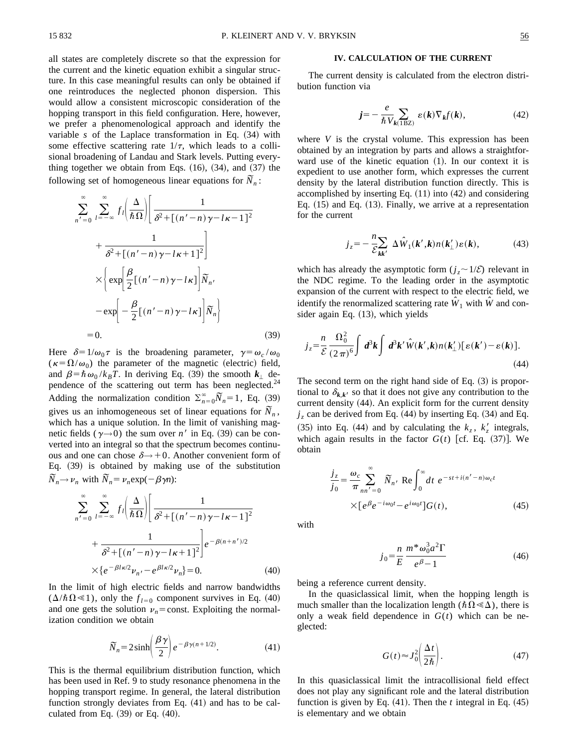all states are completely discrete so that the expression for the current and the kinetic equation exhibit a singular structure. In this case meaningful results can only be obtained if one reintroduces the neglected phonon dispersion. This would allow a consistent microscopic consideration of the hopping transport in this field configuration. Here, however, we prefer a phenomenological approach and identify the variable  $s$  of the Laplace transformation in Eq.  $(34)$  with some effective scattering rate  $1/\tau$ , which leads to a collisional broadening of Landau and Stark levels. Putting everything together we obtain from Eqs.  $(16)$ ,  $(34)$ , and  $(37)$  the following set of homogeneous linear equations for  $\overline{N}_n$ :

$$
\sum_{n'=0}^{\infty} \sum_{l=-\infty}^{\infty} f_l \left( \frac{\Delta}{\hbar \Omega} \right) \left[ \frac{1}{\delta^2 + [(n'-n)\gamma - l\kappa - 1]^2} + \frac{1}{\delta^2 + [(n'-n)\gamma - l\kappa + 1]^2} \right]
$$
  
 
$$
\times \left\{ \exp \left[ \frac{\beta}{2} [(n'-n)\gamma - l\kappa] \right] \widetilde{N}_n, -\exp \left[ -\frac{\beta}{2} [(n'-n)\gamma - l\kappa] \right] \widetilde{N}_n \right\}
$$
  
= 0. (39)

Here  $\delta=1/\omega_0\tau$  is the broadening parameter,  $\gamma=\omega_c/\omega_0$  $(\kappa = \Omega/\omega_0)$  the parameter of the magnetic (electric) field, and  $\beta = \hbar \omega_0 / k_B T$ . In deriving Eq. (39) the smooth  $k_{\perp}$  dependence of the scattering out term has been neglected.<sup>24</sup> Adding the normalization condition  $\sum_{n=0}^{\infty} \overline{N}_n = 1$ , Eq. (39) Example the normalization condition  $\sum_{n=0}^{n} (x_n - 1)$ , Eq. (39), gives us an inhomogeneous set of linear equations for  $\overline{N}_n$ , which has a unique solution. In the limit of vanishing magnetic fields ( $\gamma \rightarrow 0$ ) the sum over *n'* in Eq. (39) can be converted into an integral so that the spectrum becomes continuous and one can chose  $\delta \rightarrow +0$ . Another convenient form of Eq.  $(39)$  is obtained by making use of the substitution  $\widetilde{N}_n \rightarrow \nu_n$  with  $\widetilde{N}_n = \nu_n \exp(-\beta \gamma n)$ :

$$
\sum_{n'=0}^{\infty} \sum_{l=-\infty}^{\infty} f_l \left( \frac{\Delta}{\hbar \Omega} \right) \left[ \frac{1}{\delta^2 + \left[ (n'-n)\gamma - l\kappa - 1 \right]^2} + \frac{1}{\delta^2 + \left[ (n'-n)\gamma - l\kappa + 1 \right]^2} \right] e^{-\beta (n+n')/2} \times \left\{ e^{-\beta l \kappa/2} \nu_{n'} - e^{\beta l \kappa/2} \nu_n \right\} = 0.
$$
 (40)

In the limit of high electric fields and narrow bandwidths  $(\Delta/\hbar \Omega \ll 1)$ , only the  $f_{l=0}$  component survives in Eq. (40) and one gets the solution  $v_n$ = const. Exploiting the normalization condition we obtain

$$
\widetilde{N}_n = 2\sinh\left(\frac{\beta\gamma}{2}\right)e^{-\beta\gamma(n+1/2)}.\tag{41}
$$

This is the thermal equilibrium distribution function, which has been used in Ref. 9 to study resonance phenomena in the hopping transport regime. In general, the lateral distribution function strongly deviates from Eq.  $(41)$  and has to be calculated from Eq.  $(39)$  or Eq.  $(40)$ .

## **IV. CALCULATION OF THE CURRENT**

The current density is calculated from the electron distribution function via

$$
j = -\frac{e}{\hbar V_{k(\text{1BZ})}} \varepsilon(k) \nabla_k f(k), \tag{42}
$$

where *V* is the crystal volume. This expression has been obtained by an integration by parts and allows a straightforward use of the kinetic equation  $(1)$ . In our context it is expedient to use another form, which expresses the current density by the lateral distribution function directly. This is accomplished by inserting Eq.  $(11)$  into  $(42)$  and considering Eq.  $(15)$  and Eq.  $(13)$ . Finally, we arrive at a representation for the current

$$
j_z = -\frac{n}{\mathcal{E}_{kk'}} \Delta \hat{W}_1(k',k) n(k'_{\perp}) \varepsilon(k), \tag{43}
$$

which has already the asymptotic form  $(j_z \sim 1/\mathcal{E})$  relevant in the NDC regime. To the leading order in the asymptotic expansion of the current with respect to the electric field, we identify the renormalized scattering rate  $\hat{W}_1$  with  $\hat{W}$  and consider again Eq.  $(13)$ , which yields

$$
j_z = \frac{n}{\mathcal{E}} \frac{\Omega_0^2}{(2\pi)^6} \int d^3k \int d^3k' \hat{W}(k',k) n(k'_{\perp}) [\varepsilon(k') - \varepsilon(k)]. \tag{44}
$$

The second term on the right hand side of Eq.  $(3)$  is proportional to  $\delta_{k,k'}$  so that it does not give any contribution to the current density  $(44)$ . An explicit form for the current density  $j_z$  can be derived from Eq. (44) by inserting Eq. (34) and Eq. (35) into Eq. (44) and by calculating the  $k_z$ ,  $k'_z$  integrals, which again results in the factor  $G(t)$  [cf. Eq.  $(37)$ ]. We obtain

$$
\frac{j_z}{j_0} = \frac{\omega_c}{\pi} \sum_{nn'=0}^{\infty} \widetilde{N}_{n'} \operatorname{Re} \int_0^{\infty} dt \ e^{-st+i(n'-n)\omega_c t}
$$

$$
\times [e^{\beta} e^{-i\omega_0 t} - e^{i\omega_0 t}] G(t), \tag{45}
$$

with

$$
j_0 = \frac{n}{E} \frac{m^* \omega_0^3 a^2 \Gamma}{e^{\beta} - 1}
$$
 (46)

being a reference current density.

In the quasiclassical limit, when the hopping length is much smaller than the localization length ( $\hbar\Omega \ll \Delta$ ), there is only a weak field dependence in  $G(t)$  which can be neglected:

$$
G(t) \approx J_0^2 \left(\frac{\Delta t}{2\hbar}\right). \tag{47}
$$

In this quasiclassical limit the intracollisional field effect does not play any significant role and the lateral distribution function is given by Eq.  $(41)$ . Then the *t* integral in Eq.  $(45)$ is elementary and we obtain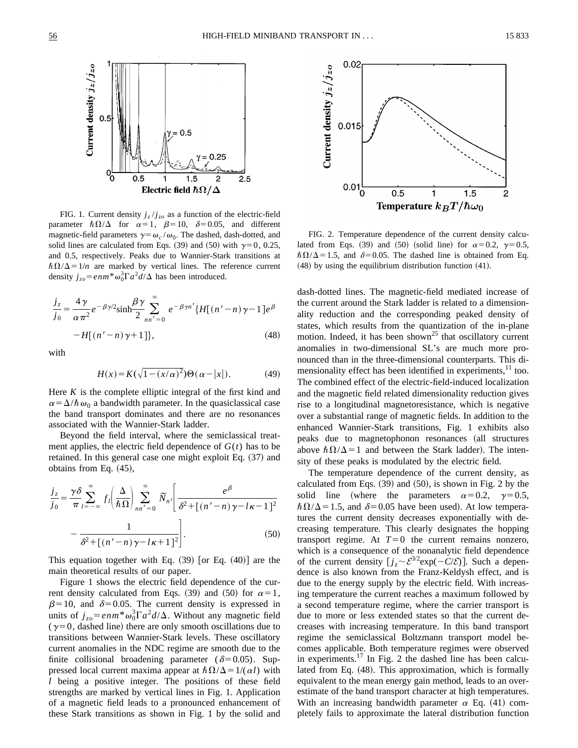

FIG. 1. Current density  $j_z/j_{zo}$  as a function of the electric-field parameter  $\hbar \Omega/\Delta$  for  $\alpha=1$ ,  $\beta=10$ ,  $\delta=0.05$ , and different magnetic-field parameters  $\gamma = \omega_c / \omega_0$ . The dashed, dash-dotted, and solid lines are calculated from Eqs. (39) and (50) with  $\gamma=0, 0.25$ , and 0.5, respectively. Peaks due to Wannier-Stark transitions at  $\hbar\Omega/\Delta=1/n$  are marked by vertical lines. The reference current density  $j_{zo} = e n m^* \omega_0^3 \Gamma a^2 d/\Delta$  has been introduced.

$$
\frac{j_z}{j_0} = \frac{4\gamma}{\alpha \pi^2} e^{-\beta \gamma/2} \sinh \frac{\beta \gamma}{2} \sum_{nn'=0}^{\infty} e^{-\beta \gamma n'} \{H[(n'-n)\gamma - 1]e^{\beta} - H[(n'-n)\gamma + 1]\},
$$
\n(48)

with

$$
H(x) = K(\sqrt{1 - (x/\alpha)^2})\Theta(\alpha - |x|). \tag{49}
$$

Here  $K$  is the complete elliptic integral of the first kind and  $\alpha = \Delta/\hbar \omega_0$  a bandwidth parameter. In the quasiclassical case the band transport dominates and there are no resonances associated with the Wannier-Stark ladder.

Beyond the field interval, where the semiclassical treatment applies, the electric field dependence of  $G(t)$  has to be retained. In this general case one might exploit Eq.  $(37)$  and obtains from Eq.  $(45)$ ,

$$
\frac{j_z}{j_0} = \frac{\gamma \delta}{\pi} \sum_{l=-\infty}^{\infty} f_l \left( \frac{\Delta}{\hbar \Omega} \right) \sum_{nn'=0}^{\infty} \widetilde{N}_{n'} \left[ \frac{e^{\beta}}{\delta^2 + [(n'-n)\gamma - l\kappa - 1]^2} - \frac{1}{\delta^2 + [(n'-n)\gamma - l\kappa + 1]^2} \right].
$$
\n(50)

This equation together with Eq.  $(39)$  [or Eq.  $(40)$ ] are the main theoretical results of our paper.

Figure 1 shows the electric field dependence of the current density calculated from Eqs. (39) and (50) for  $\alpha=1$ ,  $\beta$ =10, and  $\delta$ =0.05. The current density is expressed in units of  $j_{zo} = e n m^* \omega_0^3 \Gamma a^2 d/\Delta$ . Without any magnetic field  $(\gamma=0,$  dashed line) there are only smooth oscillations due to transitions between Wannier-Stark levels. These oscillatory current anomalies in the NDC regime are smooth due to the finite collisional broadening parameter ( $\delta$ =0.05). Suppressed local current maxima appear at  $\hbar \Omega/\Delta = 1/(\alpha l)$  with *l* being a positive integer. The positions of these field strengths are marked by vertical lines in Fig. 1. Application of a magnetic field leads to a pronounced enhancement of these Stark transitions as shown in Fig. 1 by the solid and



FIG. 2. Temperature dependence of the current density calculated from Eqs. (39) and (50) (solid line) for  $\alpha=0.2$ ,  $\gamma=0.5$ ,  $\hbar\Omega/\Delta$  = 1.5, and  $\delta$ = 0.05. The dashed line is obtained from Eq.  $(48)$  by using the equilibrium distribution function  $(41)$ .

dash-dotted lines. The magnetic-field mediated increase of the current around the Stark ladder is related to a dimensionality reduction and the corresponding peaked density of states, which results from the quantization of the in-plane motion. Indeed, it has been shown<sup>25</sup> that oscillatory current anomalies in two-dimensional SL's are much more pronounced than in the three-dimensional counterparts. This dimensionality effect has been identified in experiments, $11$  too. The combined effect of the electric-field-induced localization and the magnetic field related dimensionality reduction gives rise to a longitudinal magnetoresistance, which is negative over a substantial range of magnetic fields. In addition to the enhanced Wannier-Stark transitions, Fig. 1 exhibits also peaks due to magnetophonon resonances (all structures above  $\hbar\Omega/\Delta=1$  and between the Stark ladder). The intensity of these peaks is modulated by the electric field.

The temperature dependence of the current density, as calculated from Eqs.  $(39)$  and  $(50)$ , is shown in Fig. 2 by the solid line (where the parameters  $\alpha=0.2$ ,  $\gamma=0.5$ ,  $\hbar\Omega/\Delta$  = 1.5, and  $\delta$ =0.05 have been used). At low temperatures the current density decreases exponentially with decreasing temperature. This clearly designates the hopping transport regime. At  $T=0$  the current remains nonzero, which is a consequence of the nonanalytic field dependence of the current density  $[j_z \sim \mathcal{E}^{3/2}$ exp( $-C/\mathcal{E}$ ). Such a dependence is also known from the Franz-Keldysh effect, and is due to the energy supply by the electric field. With increasing temperature the current reaches a maximum followed by a second temperature regime, where the carrier transport is due to more or less extended states so that the current decreases with increasing temperature. In this band transport regime the semiclassical Boltzmann transport model becomes applicable. Both temperature regimes were observed in experiments.17 In Fig. 2 the dashed line has been calculated from Eq. (48). This approximation, which is formally equivalent to the mean energy gain method, leads to an overestimate of the band transport character at high temperatures. With an increasing bandwidth parameter  $\alpha$  Eq. (41) completely fails to approximate the lateral distribution function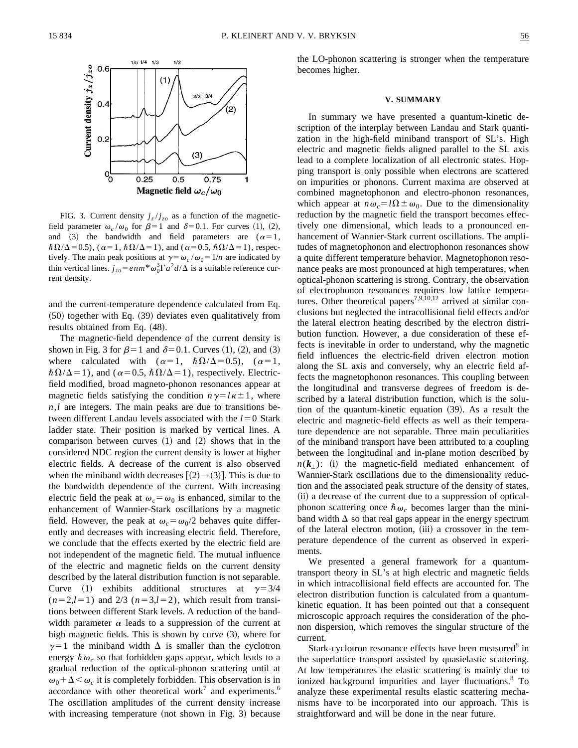

FIG. 3. Current density  $j_z/j_{zo}$  as a function of the magneticfield parameter  $\omega_c/\omega_0$  for  $\beta=1$  and  $\delta=0.1$ . For curves (1), (2), and (3) the bandwidth and field parameters are  $(\alpha=1,$  $\hbar\Omega/\Delta$  = 0.5), ( $\alpha$ =1,  $\hbar\Omega/\Delta$  = 1), and ( $\alpha$  = 0.5,  $\hbar\Omega/\Delta$  = 1), respectively. The main peak positions at  $\gamma = \omega_c / \omega_0 = 1/n$  are indicated by thin vertical lines.  $j_{zo} = e n m^* \omega_0^3 \Gamma a^2 d/\Delta$  is a suitable reference current density.

and the current-temperature dependence calculated from Eq.  $(50)$  together with Eq.  $(39)$  deviates even qualitatively from results obtained from Eq. (48).

The magnetic-field dependence of the current density is shown in Fig. 3 for  $\beta=1$  and  $\delta=0.1$ . Curves (1), (2), and (3) where calculated with  $(\alpha=1, \hbar\Omega/\Delta=0.5)$ ,  $(\alpha=1,$  $\hbar\Omega/\Delta=1$ ), and ( $\alpha=0.5$ ,  $\hbar\Omega/\Delta=1$ ), respectively. Electricfield modified, broad magneto-phonon resonances appear at magnetic fields satisfying the condition  $n\gamma = l\kappa \pm 1$ , where *n*,*l* are integers. The main peaks are due to transitions between different Landau levels associated with the  $l=0$  Stark ladder state. Their position is marked by vertical lines. A comparison between curves  $(1)$  and  $(2)$  shows that in the considered NDC region the current density is lower at higher electric fields. A decrease of the current is also observed when the miniband width decreases  $[(2) \rightarrow (3)]$ . This is due to the bandwidth dependence of the current. With increasing electric field the peak at  $\omega_c = \omega_0$  is enhanced, similar to the enhancement of Wannier-Stark oscillations by a magnetic field. However, the peak at  $\omega_c = \omega_0/2$  behaves quite differently and decreases with increasing electric field. Therefore, we conclude that the effects exerted by the electric field are not independent of the magnetic field. The mutual influence of the electric and magnetic fields on the current density described by the lateral distribution function is not separable. Curve (1) exhibits additional structures at  $\gamma = 3/4$  $(n=2,l=1)$  and  $2/3$   $(n=3,l=2)$ , which result from transitions between different Stark levels. A reduction of the bandwidth parameter  $\alpha$  leads to a suppression of the current at high magnetic fields. This is shown by curve  $(3)$ , where for  $\gamma=1$  the miniband width  $\Delta$  is smaller than the cyclotron energy  $\hbar \omega_c$  so that forbidden gaps appear, which leads to a gradual reduction of the optical-phonon scattering until at  $\omega_0 + \Delta \langle \omega_c \rangle$  it is completely forbidden. This observation is in accordance with other theoretical work<sup>7</sup> and experiments.<sup>6</sup> The oscillation amplitudes of the current density increase with increasing temperature (not shown in Fig. 3) because the LO-phonon scattering is stronger when the temperature becomes higher.

#### **V. SUMMARY**

In summary we have presented a quantum-kinetic description of the interplay between Landau and Stark quantization in the high-field miniband transport of SL's. High electric and magnetic fields aligned parallel to the SL axis lead to a complete localization of all electronic states. Hopping transport is only possible when electrons are scattered on impurities or phonons. Current maxima are observed at combined magnetophonon and electro-phonon resonances, which appear at  $n\omega_c = l\Omega \pm \omega_0$ . Due to the dimensionality reduction by the magnetic field the transport becomes effectively one dimensional, which leads to a pronounced enhancement of Wannier-Stark current oscillations. The amplitudes of magnetophonon and electrophonon resonances show a quite different temperature behavior. Magnetophonon resonance peaks are most pronounced at high temperatures, when optical-phonon scattering is strong. Contrary, the observation of electrophonon resonances requires low lattice temperatures. Other theoretical papers<sup>7,9,10,12</sup> arrived at similar conclusions but neglected the intracollisional field effects and/or the lateral electron heating described by the electron distribution function. However, a due consideration of these effects is inevitable in order to understand, why the magnetic field influences the electric-field driven electron motion along the SL axis and conversely, why an electric field affects the magnetophonon resonances. This coupling between the longitudinal and transverse degrees of freedom is described by a lateral distribution function, which is the solution of the quantum-kinetic equation  $(39)$ . As a result the electric and magnetic-field effects as well as their temperature dependence are not separable. Three main peculiarities of the miniband transport have been attributed to a coupling between the longitudinal and in-plane motion described by  $n(k_1)$ : (i) the magnetic-field mediated enhancement of Wannier-Stark oscillations due to the dimensionality reduction and the associated peak structure of the density of states, (ii) a decrease of the current due to a suppression of opticalphonon scattering once  $\hbar \omega_c$  becomes larger than the miniband width  $\Delta$  so that real gaps appear in the energy spectrum of the lateral electron motion, (iii) a crossover in the temperature dependence of the current as observed in experiments.

We presented a general framework for a quantumtransport theory in SL's at high electric and magnetic fields in which intracollisional field effects are accounted for. The electron distribution function is calculated from a quantumkinetic equation. It has been pointed out that a consequent microscopic approach requires the consideration of the phonon dispersion, which removes the singular structure of the current.

Stark-cyclotron resonance effects have been measured<sup>8</sup> in the superlattice transport assisted by quasielastic scattering. At low temperatures the elastic scattering is mainly due to ionized background impurities and layer fluctuations.<sup>8</sup> To analyze these experimental results elastic scattering mechanisms have to be incorporated into our approach. This is straightforward and will be done in the near future.